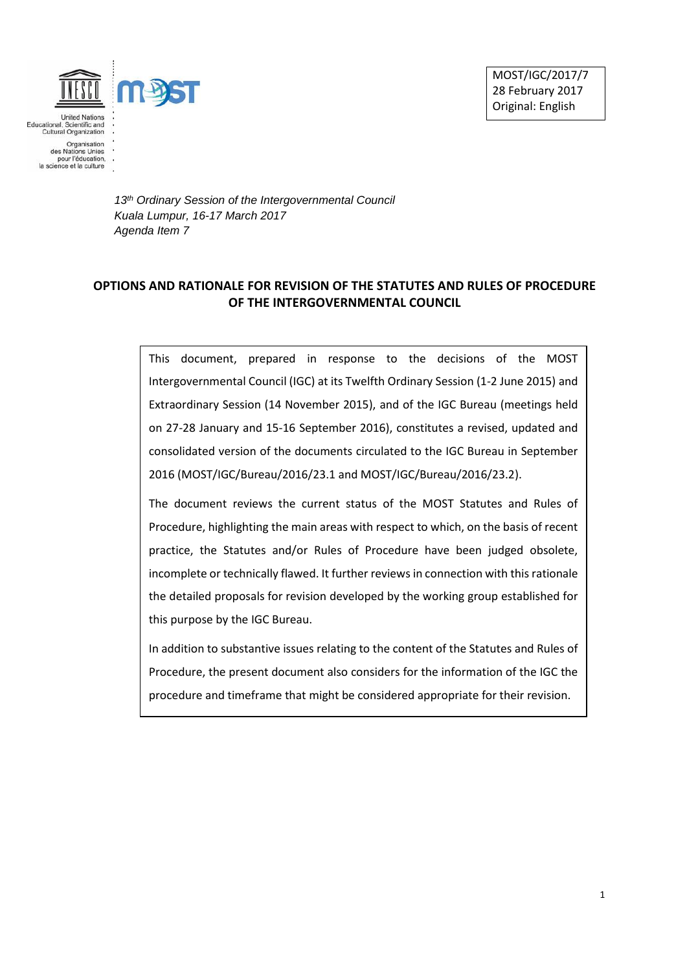

*13th Ordinary Session of the Intergovernmental Council Kuala Lumpur, 16-17 March 2017 Agenda Item 7*

## **OPTIONS AND RATIONALE FOR REVISION OF THE STATUTES AND RULES OF PROCEDURE OF THE INTERGOVERNMENTAL COUNCIL**

This document, prepared in response to the decisions of the MOST Intergovernmental Council (IGC) at its Twelfth Ordinary Session (1-2 June 2015) and Extraordinary Session (14 November 2015), and of the IGC Bureau (meetings held on 27-28 January and 15-16 September 2016), constitutes a revised, updated and consolidated version of the documents circulated to the IGC Bureau in September 2016 (MOST/IGC/Bureau/2016/23.1 and MOST/IGC/Bureau/2016/23.2).

The document reviews the current status of the MOST Statutes and Rules of Procedure, highlighting the main areas with respect to which, on the basis of recent practice, the Statutes and/or Rules of Procedure have been judged obsolete, incomplete or technically flawed. It further reviews in connection with this rationale the detailed proposals for revision developed by the working group established for this purpose by the IGC Bureau.

In addition to substantive issues relating to the content of the Statutes and Rules of Procedure, the present document also considers for the information of the IGC the procedure and timeframe that might be considered appropriate for their revision.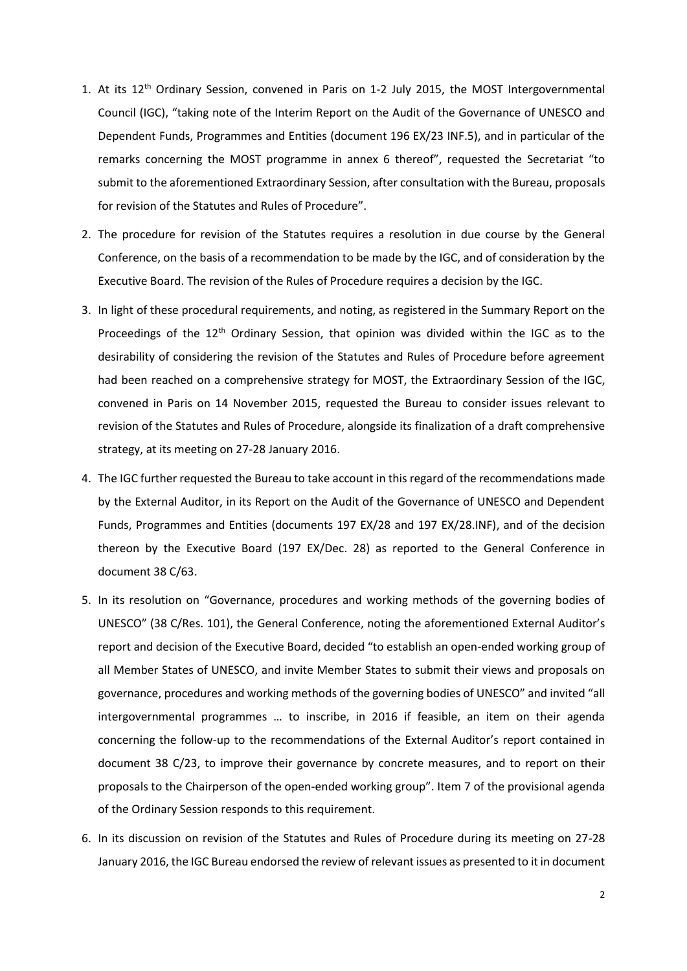- 1. At its 12<sup>th</sup> Ordinary Session, convened in Paris on 1-2 July 2015, the MOST Intergovernmental Council (IGC), "taking note of the Interim Report on the Audit of the Governance of UNESCO and Dependent Funds, Programmes and Entities (document 196 EX/23 INF.5), and in particular of the remarks concerning the MOST programme in annex 6 thereof", requested the Secretariat "to submit to the aforementioned Extraordinary Session, after consultation with the Bureau, proposals for revision of the Statutes and Rules of Procedure".
- 2. The procedure for revision of the Statutes requires a resolution in due course by the General Conference, on the basis of a recommendation to be made by the IGC, and of consideration by the Executive Board. The revision of the Rules of Procedure requires a decision by the IGC.
- 3. In light of these procedural requirements, and noting, as registered in the Summary Report on the Proceedings of the  $12<sup>th</sup>$  Ordinary Session, that opinion was divided within the IGC as to the desirability of considering the revision of the Statutes and Rules of Procedure before agreement had been reached on a comprehensive strategy for MOST, the Extraordinary Session of the IGC, convened in Paris on 14 November 2015, requested the Bureau to consider issues relevant to revision of the Statutes and Rules of Procedure, alongside its finalization of a draft comprehensive strategy, at its meeting on 27-28 January 2016.
- 4. The IGC further requested the Bureau to take account in this regard of the recommendations made by the External Auditor, in its Report on the Audit of the Governance of UNESCO and Dependent Funds, Programmes and Entities (documents 197 EX/28 and 197 EX/28.INF), and of the decision thereon by the Executive Board (197 EX/Dec. 28) as reported to the General Conference in document 38 C/63.
- 5. In its resolution on "Governance, procedures and working methods of the governing bodies of UNESCO" (38 C/Res. 101), the General Conference, noting the aforementioned External Auditor's report and decision of the Executive Board, decided "to establish an open-ended working group of all Member States of UNESCO, and invite Member States to submit their views and proposals on governance, procedures and working methods of the governing bodies of UNESCO" and invited "all intergovernmental programmes … to inscribe, in 2016 if feasible, an item on their agenda concerning the follow-up to the recommendations of the External Auditor's report contained in document 38 C/23, to improve their governance by concrete measures, and to report on their proposals to the Chairperson of the open-ended working group". Item 7 of the provisional agenda of the Ordinary Session responds to this requirement.
- 6. In its discussion on revision of the Statutes and Rules of Procedure during its meeting on 27-28 January 2016, the IGC Bureau endorsed the review of relevant issues as presented to it in document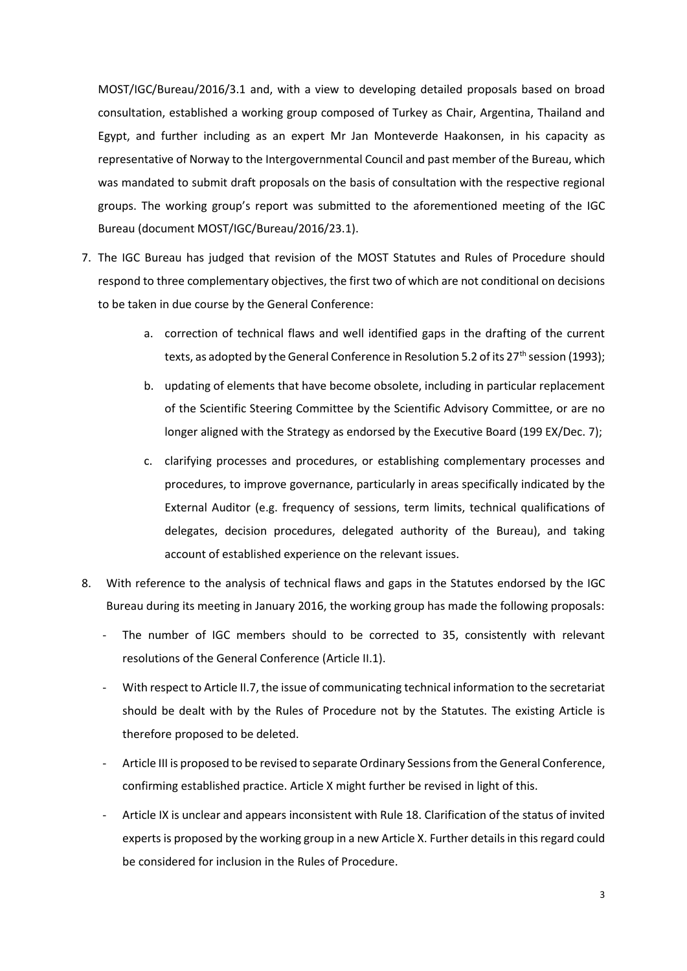MOST/IGC/Bureau/2016/3.1 and, with a view to developing detailed proposals based on broad consultation, established a working group composed of Turkey as Chair, Argentina, Thailand and Egypt, and further including as an expert Mr Jan Monteverde Haakonsen, in his capacity as representative of Norway to the Intergovernmental Council and past member of the Bureau, which was mandated to submit draft proposals on the basis of consultation with the respective regional groups. The working group's report was submitted to the aforementioned meeting of the IGC Bureau (document MOST/IGC/Bureau/2016/23.1).

- 7. The IGC Bureau has judged that revision of the MOST Statutes and Rules of Procedure should respond to three complementary objectives, the first two of which are not conditional on decisions to be taken in due course by the General Conference:
	- a. correction of technical flaws and well identified gaps in the drafting of the current texts, as adopted by the General Conference in Resolution 5.2 of its 27<sup>th</sup> session (1993);
	- b. updating of elements that have become obsolete, including in particular replacement of the Scientific Steering Committee by the Scientific Advisory Committee, or are no longer aligned with the Strategy as endorsed by the Executive Board (199 EX/Dec. 7);
	- c. clarifying processes and procedures, or establishing complementary processes and procedures, to improve governance, particularly in areas specifically indicated by the External Auditor (e.g. frequency of sessions, term limits, technical qualifications of delegates, decision procedures, delegated authority of the Bureau), and taking account of established experience on the relevant issues.
- 8. With reference to the analysis of technical flaws and gaps in the Statutes endorsed by the IGC Bureau during its meeting in January 2016, the working group has made the following proposals:
	- The number of IGC members should to be corrected to 35, consistently with relevant resolutions of the General Conference (Article II.1).
	- With respect to Article II.7, the issue of communicating technical information to the secretariat should be dealt with by the Rules of Procedure not by the Statutes. The existing Article is therefore proposed to be deleted.
	- Article III is proposed to be revised to separate Ordinary Sessions from the General Conference, confirming established practice. Article X might further be revised in light of this.
	- Article IX is unclear and appears inconsistent with Rule 18. Clarification of the status of invited experts is proposed by the working group in a new Article X. Further details in this regard could be considered for inclusion in the Rules of Procedure.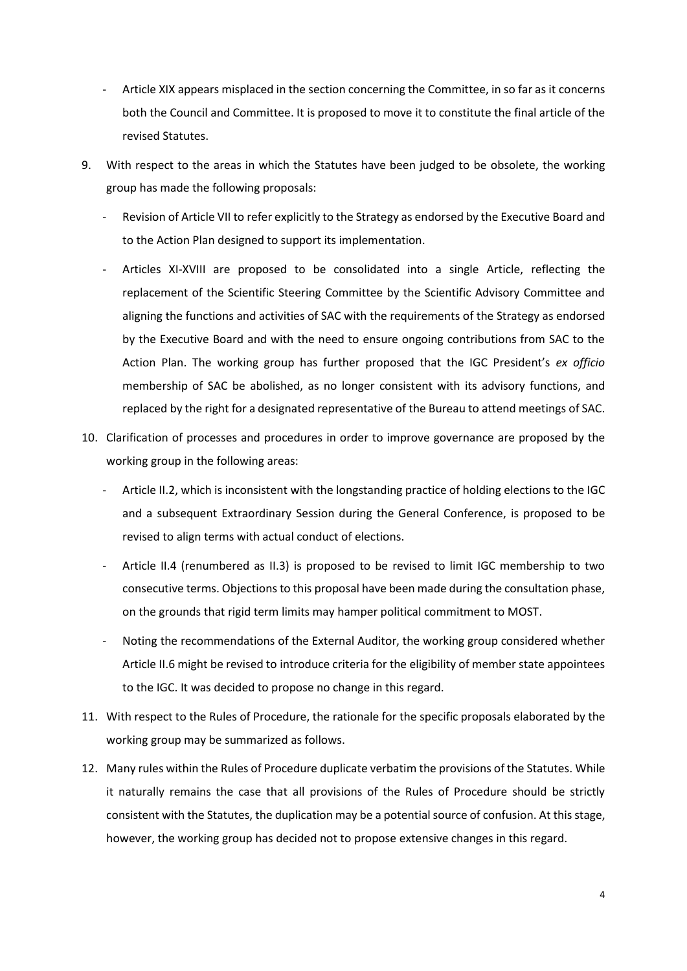- Article XIX appears misplaced in the section concerning the Committee, in so far as it concerns both the Council and Committee. It is proposed to move it to constitute the final article of the revised Statutes.
- 9. With respect to the areas in which the Statutes have been judged to be obsolete, the working group has made the following proposals:
	- Revision of Article VII to refer explicitly to the Strategy as endorsed by the Executive Board and to the Action Plan designed to support its implementation.
	- Articles XI-XVIII are proposed to be consolidated into a single Article, reflecting the replacement of the Scientific Steering Committee by the Scientific Advisory Committee and aligning the functions and activities of SAC with the requirements of the Strategy as endorsed by the Executive Board and with the need to ensure ongoing contributions from SAC to the Action Plan. The working group has further proposed that the IGC President's *ex officio* membership of SAC be abolished, as no longer consistent with its advisory functions, and replaced by the right for a designated representative of the Bureau to attend meetings of SAC.
- 10. Clarification of processes and procedures in order to improve governance are proposed by the working group in the following areas:
	- Article II.2, which is inconsistent with the longstanding practice of holding elections to the IGC and a subsequent Extraordinary Session during the General Conference, is proposed to be revised to align terms with actual conduct of elections.
	- Article II.4 (renumbered as II.3) is proposed to be revised to limit IGC membership to two consecutive terms. Objections to this proposal have been made during the consultation phase, on the grounds that rigid term limits may hamper political commitment to MOST.
	- Noting the recommendations of the External Auditor, the working group considered whether Article II.6 might be revised to introduce criteria for the eligibility of member state appointees to the IGC. It was decided to propose no change in this regard.
- 11. With respect to the Rules of Procedure, the rationale for the specific proposals elaborated by the working group may be summarized as follows.
- 12. Many rules within the Rules of Procedure duplicate verbatim the provisions of the Statutes. While it naturally remains the case that all provisions of the Rules of Procedure should be strictly consistent with the Statutes, the duplication may be a potential source of confusion. At this stage, however, the working group has decided not to propose extensive changes in this regard.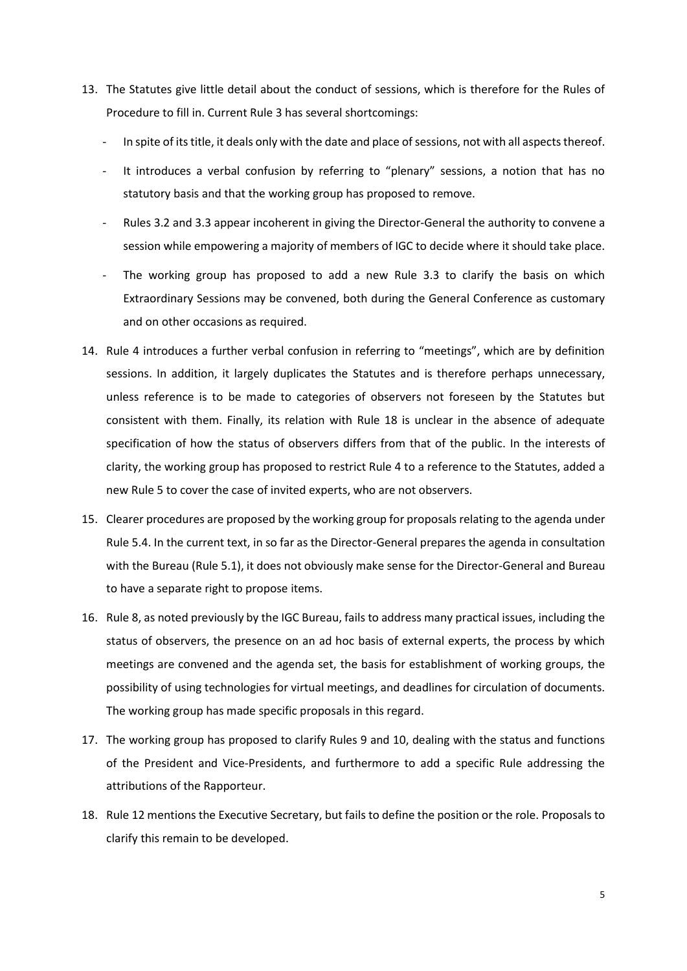- 13. The Statutes give little detail about the conduct of sessions, which is therefore for the Rules of Procedure to fill in. Current Rule 3 has several shortcomings:
	- In spite of its title, it deals only with the date and place of sessions, not with all aspects thereof.
	- It introduces a verbal confusion by referring to "plenary" sessions, a notion that has no statutory basis and that the working group has proposed to remove.
	- Rules 3.2 and 3.3 appear incoherent in giving the Director-General the authority to convene a session while empowering a majority of members of IGC to decide where it should take place.
	- The working group has proposed to add a new Rule 3.3 to clarify the basis on which Extraordinary Sessions may be convened, both during the General Conference as customary and on other occasions as required.
- 14. Rule 4 introduces a further verbal confusion in referring to "meetings", which are by definition sessions. In addition, it largely duplicates the Statutes and is therefore perhaps unnecessary, unless reference is to be made to categories of observers not foreseen by the Statutes but consistent with them. Finally, its relation with Rule 18 is unclear in the absence of adequate specification of how the status of observers differs from that of the public. In the interests of clarity, the working group has proposed to restrict Rule 4 to a reference to the Statutes, added a new Rule 5 to cover the case of invited experts, who are not observers.
- 15. Clearer procedures are proposed by the working group for proposals relating to the agenda under Rule 5.4. In the current text, in so far as the Director-General prepares the agenda in consultation with the Bureau (Rule 5.1), it does not obviously make sense for the Director-General and Bureau to have a separate right to propose items.
- 16. Rule 8, as noted previously by the IGC Bureau, fails to address many practical issues, including the status of observers, the presence on an ad hoc basis of external experts, the process by which meetings are convened and the agenda set, the basis for establishment of working groups, the possibility of using technologies for virtual meetings, and deadlines for circulation of documents. The working group has made specific proposals in this regard.
- 17. The working group has proposed to clarify Rules 9 and 10, dealing with the status and functions of the President and Vice-Presidents, and furthermore to add a specific Rule addressing the attributions of the Rapporteur.
- 18. Rule 12 mentions the Executive Secretary, but fails to define the position or the role. Proposals to clarify this remain to be developed.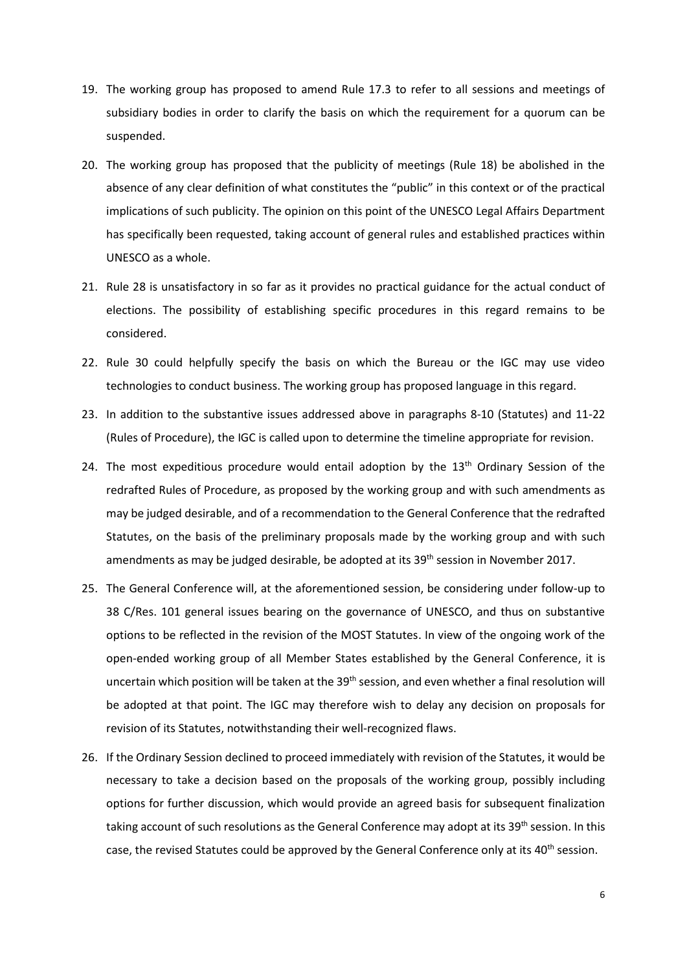- 19. The working group has proposed to amend Rule 17.3 to refer to all sessions and meetings of subsidiary bodies in order to clarify the basis on which the requirement for a quorum can be suspended.
- 20. The working group has proposed that the publicity of meetings (Rule 18) be abolished in the absence of any clear definition of what constitutes the "public" in this context or of the practical implications of such publicity. The opinion on this point of the UNESCO Legal Affairs Department has specifically been requested, taking account of general rules and established practices within UNESCO as a whole.
- 21. Rule 28 is unsatisfactory in so far as it provides no practical guidance for the actual conduct of elections. The possibility of establishing specific procedures in this regard remains to be considered.
- 22. Rule 30 could helpfully specify the basis on which the Bureau or the IGC may use video technologies to conduct business. The working group has proposed language in this regard.
- 23. In addition to the substantive issues addressed above in paragraphs 8-10 (Statutes) and 11-22 (Rules of Procedure), the IGC is called upon to determine the timeline appropriate for revision.
- 24. The most expeditious procedure would entail adoption by the 13<sup>th</sup> Ordinary Session of the redrafted Rules of Procedure, as proposed by the working group and with such amendments as may be judged desirable, and of a recommendation to the General Conference that the redrafted Statutes, on the basis of the preliminary proposals made by the working group and with such amendments as may be judged desirable, be adopted at its 39<sup>th</sup> session in November 2017.
- 25. The General Conference will, at the aforementioned session, be considering under follow-up to 38 C/Res. 101 general issues bearing on the governance of UNESCO, and thus on substantive options to be reflected in the revision of the MOST Statutes. In view of the ongoing work of the open-ended working group of all Member States established by the General Conference, it is uncertain which position will be taken at the 39<sup>th</sup> session, and even whether a final resolution will be adopted at that point. The IGC may therefore wish to delay any decision on proposals for revision of its Statutes, notwithstanding their well-recognized flaws.
- 26. If the Ordinary Session declined to proceed immediately with revision of the Statutes, it would be necessary to take a decision based on the proposals of the working group, possibly including options for further discussion, which would provide an agreed basis for subsequent finalization taking account of such resolutions as the General Conference may adopt at its 39<sup>th</sup> session. In this case, the revised Statutes could be approved by the General Conference only at its  $40<sup>th</sup>$  session.